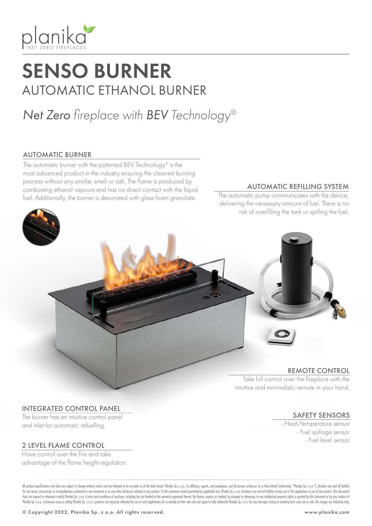

# SENSO BURNER AUTOMATIC ETHANOL BURNER

# *Net Zero fireplace with BEV Technology®*

### AUTOMATIC BURNER

The automatic burner with the patented BEV Technology® is the most advanced product in the industry ensuring the cleanest burning process without any smoke, smell or ash. The flame is produced by combusting ethanol vapours and has no direct contact with the liquid fuel. Additionally, the burner is decorated with glass foam granulate.

#### AUTOMATIC REFILLING SYSTEM

The automatic pump communicates with the device, delivering the necessary amount of fuel. There is no risk of overfilling the tank or spilling the fuel.



#### INTEGRATED CONTROL PANEL

The burner has an intuitive control panel and inlet for automatic refuelling.

### 2 LEVEL FLAME CONTROL

Have control over the fire and take advantage of the flame height regulation.

SAFETY SENSORS - Heat/temperature sensor - Fuel spillage sensor - Fuel level sensor

All product specifications and data are subject to change without notice and are believed to be accurate as of the date hereof. Planika Sp. z o.o., its affiliates, agents, and employees, and all persons acting on its or th for any errors, inaccuracies or incompleteness contained in any document or in any other disclosure relating to any product. To the maximum extent permitted by applicable law, Planika Sp. z o.o. disclaims any and all liabi does not expand or otherwise modify Planika Sp. z o.o.'s terms and conditions of purchase, including but not limited to the warranty expressed therein. No license, express or implied, by estoppel or otherwise, to any intel Planika Sp. z o.o. Customers using or selling Planika Sp. z o.o.'s products not expressly indicated for use in such applications do so entirely at their own risk and agree to fully indemnify Planika Sp. z o.o. for any dama